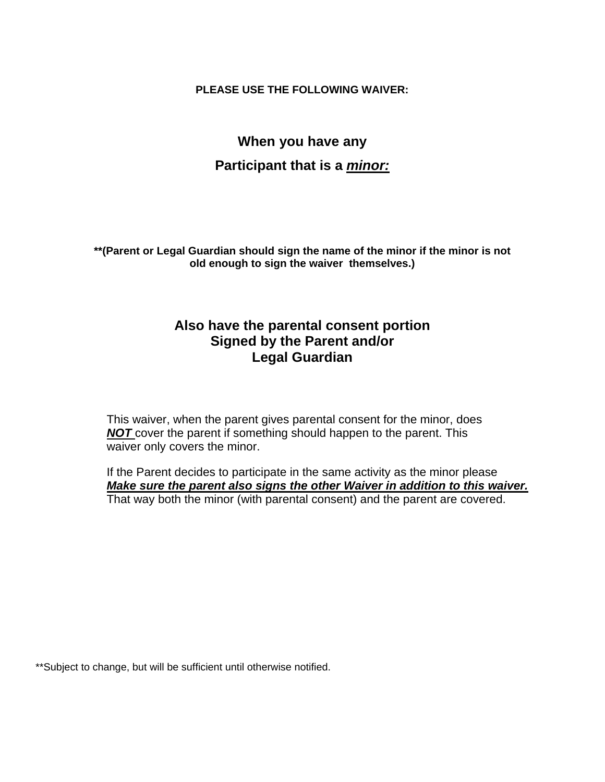**PLEASE USE THE FOLLOWING WAIVER:** 

# **When you have any Participant that is a** *minor:*

**\*\*(Parent or Legal Guardian should sign the name of the minor if the minor is not old enough to sign the waiver themselves.)** 

# **Also have the parental consent portion Signed by the Parent and/or Legal Guardian**

This waiver, when the parent gives parental consent for the minor, does **NOT** cover the parent if something should happen to the parent. This waiver only covers the minor.

If the Parent decides to participate in the same activity as the minor please *Make sure the parent also signs the other Waiver in addition to this waiver.*  That way both the minor (with parental consent) and the parent are covered.

\*\*Subject to change, but will be sufficient until otherwise notified.